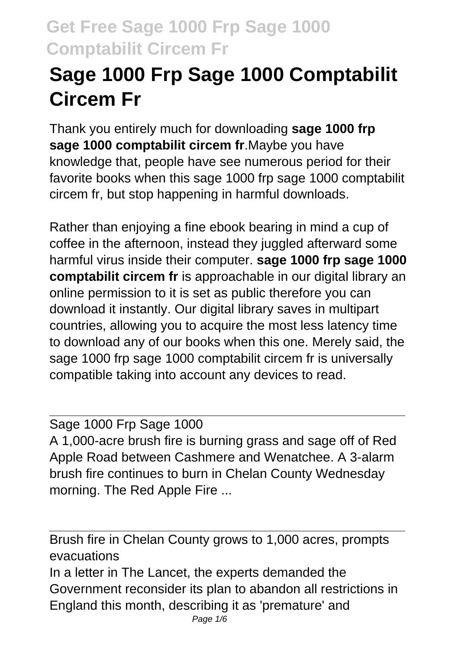# **Sage 1000 Frp Sage 1000 Comptabilit Circem Fr**

Thank you entirely much for downloading **sage 1000 frp sage 1000 comptabilit circem fr**.Maybe you have knowledge that, people have see numerous period for their favorite books when this sage 1000 frp sage 1000 comptabilit circem fr, but stop happening in harmful downloads.

Rather than enjoying a fine ebook bearing in mind a cup of coffee in the afternoon, instead they juggled afterward some harmful virus inside their computer. **sage 1000 frp sage 1000 comptabilit circem fr** is approachable in our digital library an online permission to it is set as public therefore you can download it instantly. Our digital library saves in multipart countries, allowing you to acquire the most less latency time to download any of our books when this one. Merely said, the sage 1000 frp sage 1000 comptabilit circem fr is universally compatible taking into account any devices to read.

Sage 1000 Frp Sage 1000 A 1,000-acre brush fire is burning grass and sage off of Red Apple Road between Cashmere and Wenatchee. A 3-alarm brush fire continues to burn in Chelan County Wednesday morning. The Red Apple Fire ...

Brush fire in Chelan County grows to 1,000 acres, prompts evacuations In a letter in The Lancet, the experts demanded the Government reconsider its plan to abandon all restrictions in England this month, describing it as 'premature' and Page 1/6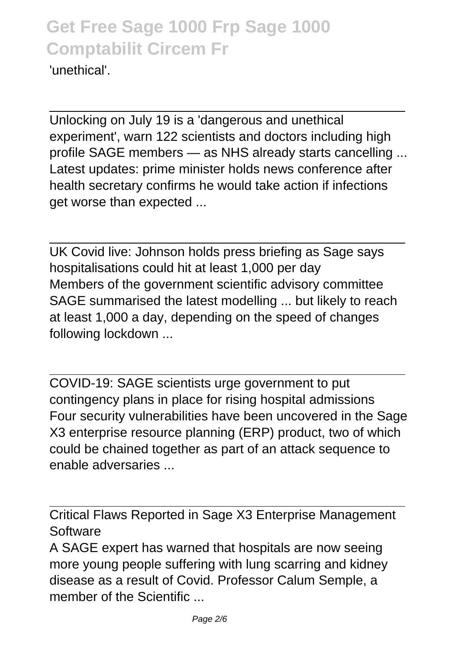'unethical'.

Unlocking on July 19 is a 'dangerous and unethical experiment', warn 122 scientists and doctors including high profile SAGE members — as NHS already starts cancelling ... Latest updates: prime minister holds news conference after health secretary confirms he would take action if infections get worse than expected ...

UK Covid live: Johnson holds press briefing as Sage says hospitalisations could hit at least 1,000 per day Members of the government scientific advisory committee SAGE summarised the latest modelling ... but likely to reach at least 1,000 a day, depending on the speed of changes following lockdown ...

COVID-19: SAGE scientists urge government to put contingency plans in place for rising hospital admissions Four security vulnerabilities have been uncovered in the Sage X3 enterprise resource planning (ERP) product, two of which could be chained together as part of an attack sequence to enable adversaries ...

Critical Flaws Reported in Sage X3 Enterprise Management Software

A SAGE expert has warned that hospitals are now seeing more young people suffering with lung scarring and kidney disease as a result of Covid. Professor Calum Semple, a member of the Scientific ...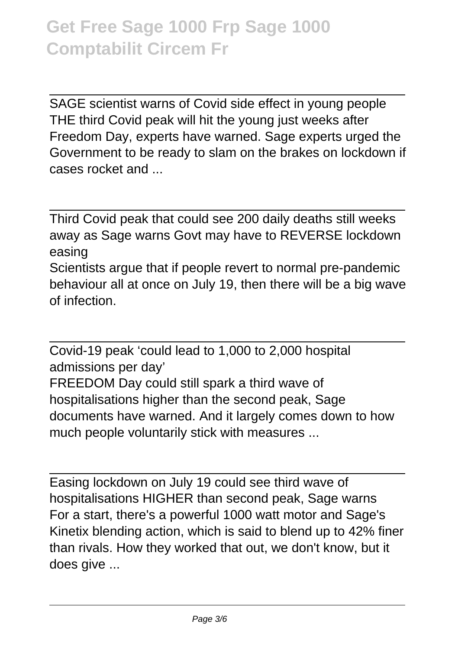SAGE scientist warns of Covid side effect in young people THE third Covid peak will hit the young just weeks after Freedom Day, experts have warned. Sage experts urged the Government to be ready to slam on the brakes on lockdown if cases rocket and ...

Third Covid peak that could see 200 daily deaths still weeks away as Sage warns Govt may have to REVERSE lockdown easing Scientists argue that if people revert to normal pre-pandemic

behaviour all at once on July 19, then there will be a big wave of infection.

Covid-19 peak 'could lead to 1,000 to 2,000 hospital admissions per day' FREEDOM Day could still spark a third wave of hospitalisations higher than the second peak, Sage documents have warned. And it largely comes down to how much people voluntarily stick with measures ...

Easing lockdown on July 19 could see third wave of hospitalisations HIGHER than second peak, Sage warns For a start, there's a powerful 1000 watt motor and Sage's Kinetix blending action, which is said to blend up to 42% finer than rivals. How they worked that out, we don't know, but it does give ...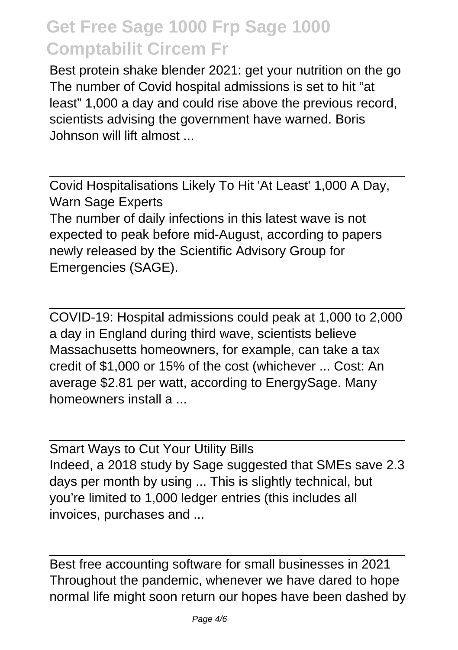Best protein shake blender 2021: get your nutrition on the go The number of Covid hospital admissions is set to hit "at least" 1,000 a day and could rise above the previous record, scientists advising the government have warned. Boris Johnson will lift almost ...

Covid Hospitalisations Likely To Hit 'At Least' 1,000 A Day, Warn Sage Experts

The number of daily infections in this latest wave is not expected to peak before mid-August, according to papers newly released by the Scientific Advisory Group for Emergencies (SAGE).

COVID-19: Hospital admissions could peak at 1,000 to 2,000 a day in England during third wave, scientists believe Massachusetts homeowners, for example, can take a tax credit of \$1,000 or 15% of the cost (whichever ... Cost: An average \$2.81 per watt, according to EnergySage. Many homeowners install a ...

Smart Ways to Cut Your Utility Bills Indeed, a 2018 study by Sage suggested that SMEs save 2.3 days per month by using ... This is slightly technical, but you're limited to 1,000 ledger entries (this includes all invoices, purchases and ...

Best free accounting software for small businesses in 2021 Throughout the pandemic, whenever we have dared to hope normal life might soon return our hopes have been dashed by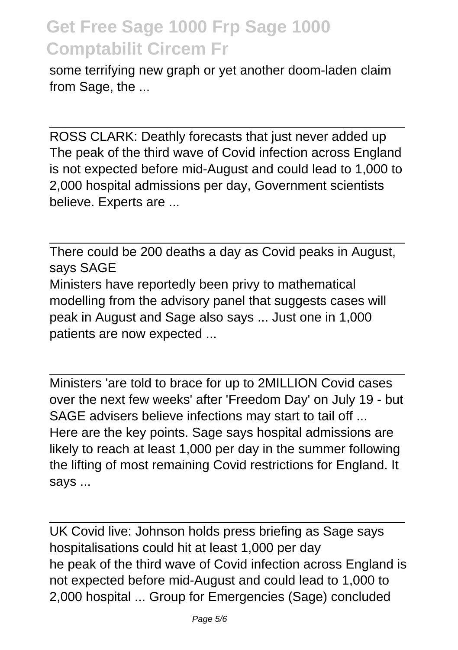some terrifying new graph or yet another doom-laden claim from Sage, the ...

ROSS CLARK: Deathly forecasts that just never added up The peak of the third wave of Covid infection across England is not expected before mid-August and could lead to 1,000 to 2,000 hospital admissions per day, Government scientists believe. Experts are ...

There could be 200 deaths a day as Covid peaks in August, says SAGE Ministers have reportedly been privy to mathematical modelling from the advisory panel that suggests cases will peak in August and Sage also says ... Just one in 1,000 patients are now expected ...

Ministers 'are told to brace for up to 2MILLION Covid cases over the next few weeks' after 'Freedom Day' on July 19 - but SAGE advisers believe infections may start to tail off ... Here are the key points. Sage says hospital admissions are likely to reach at least 1,000 per day in the summer following the lifting of most remaining Covid restrictions for England. It says ...

UK Covid live: Johnson holds press briefing as Sage says hospitalisations could hit at least 1,000 per day he peak of the third wave of Covid infection across England is not expected before mid-August and could lead to 1,000 to 2,000 hospital ... Group for Emergencies (Sage) concluded